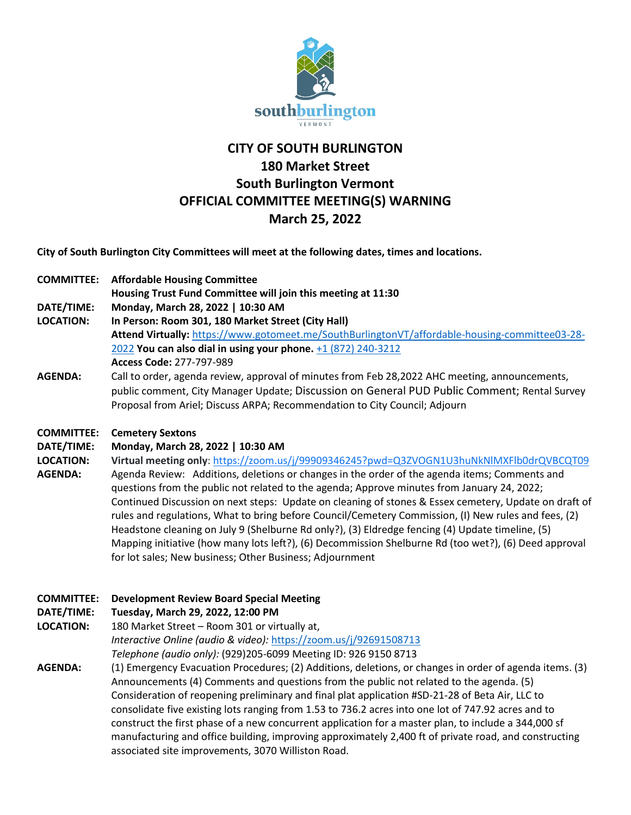

# **CITY OF SOUTH BURLINGTON 180 Market Street South Burlington Vermont OFFICIAL COMMITTEE MEETING(S) WARNING March 25, 2022**

**City of South Burlington City Committees will meet at the following dates, times and locations.** 

**COMMITTEE: Affordable Housing Committee**

**Housing Trust Fund Committee will join this meeting at 11:30**

**DATE/TIME: Monday, March 28, 2022 | 10:30 AM**

- **LOCATION: In Person: Room 301, 180 Market Street (City Hall) Attend Virtually:** [https://www.gotomeet.me/SouthBurlingtonVT/affordable-housing-committee03-28-](https://www.gotomeet.me/SouthBurlingtonVT/affordable-housing-committee03-28-2022) [2022](https://www.gotomeet.me/SouthBurlingtonVT/affordable-housing-committee03-28-2022) **You can also dial in using your phone.** [+1 \(872\) 240-3212](tel:+18722403212,,277797989) **Access Code:** 277-797-989
- **AGENDA:** Call to order, agenda review, approval of minutes from Feb 28,2022 AHC meeting, announcements, public comment, City Manager Update; Discussion on General PUD Public Comment; Rental Survey Proposal from Ariel; Discuss ARPA; Recommendation to City Council; Adjourn

### **COMMITTEE: Cemetery Sextons**

### **DATE/TIME: Monday, March 28, 2022 | 10:30 AM**

**LOCATION: Virtual meeting only**: <https://zoom.us/j/99909346245?pwd=Q3ZVOGN1U3huNkNlMXFlb0drQVBCQT09> **AGENDA:** Agenda Review: Additions, deletions or changes in the order of the agenda items; Comments and questions from the public not related to the agenda; Approve minutes from January 24, 2022; Continued Discussion on next steps: Update on cleaning of stones & Essex cemetery, Update on draft of rules and regulations, What to bring before Council/Cemetery Commission, (I) New rules and fees, (2) Headstone cleaning on July 9 (Shelburne Rd only?), (3) Eldredge fencing (4) Update timeline, (5) Mapping initiative (how many lots left?), (6) Decommission Shelburne Rd (too wet?), (6) Deed approval for lot sales; New business; Other Business; Adjournment

# **COMMITTEE: Development Review Board Special Meeting**

# **DATE/TIME: Tuesday, March 29, 2022, 12:00 PM**

- **LOCATION:** 180 Market Street Room 301 or virtually at, *Interactive Online (audio & video):* <https://zoom.us/j/92691508713> *Telephone (audio only):* (929)205-6099 Meeting ID: 926 9150 8713
- **AGENDA:** (1) Emergency Evacuation Procedures; (2) Additions, deletions, or changes in order of agenda items. (3) Announcements (4) Comments and questions from the public not related to the agenda. (5) Consideration of reopening preliminary and final plat application #SD-21-28 of Beta Air, LLC to consolidate five existing lots ranging from 1.53 to 736.2 acres into one lot of 747.92 acres and to construct the first phase of a new concurrent application for a master plan, to include a 344,000 sf manufacturing and office building, improving approximately 2,400 ft of private road, and constructing associated site improvements, 3070 Williston Road.